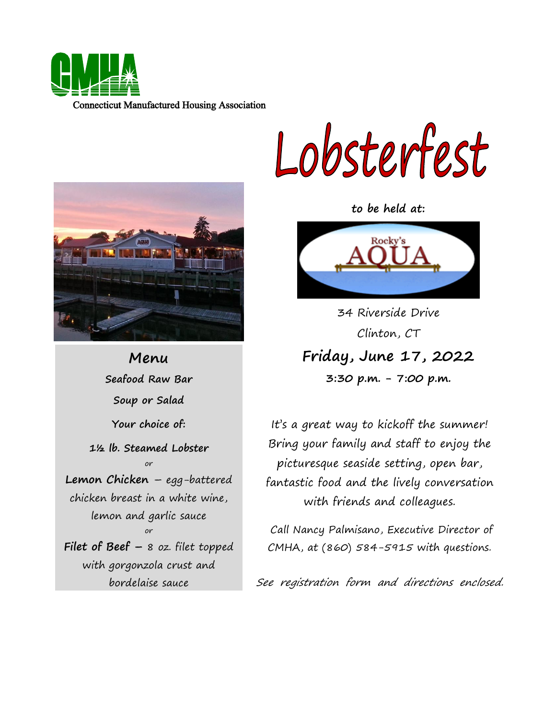

Lobsterfest

**to be held at:**



 34 Riverside Drive  **Friday, June 17, 2022** Clinton, CT **3:30 p.m. - 7:00 p.m.**

It's a great way to kickoff the summer! Bring your family and staff to enjoy the picturesque seaside setting, open bar, fantastic food and the lively conversation with friends and colleagues.

Call Nancy Palmisano, Executive Director of CMHA, at (860) 584-5915 with questions.

See registration form and directions enclosed.



**Menu Seafood Raw Bar Soup or Salad Your choice of: 1½ lb. Steamed Lobster** or **Lemon Chicken** – egg-battered chicken breast in a white wine, lemon and garlic sauce or **Filet of Beef –** 8 oz. filet topped with gorgonzola crust and bordelaise sauce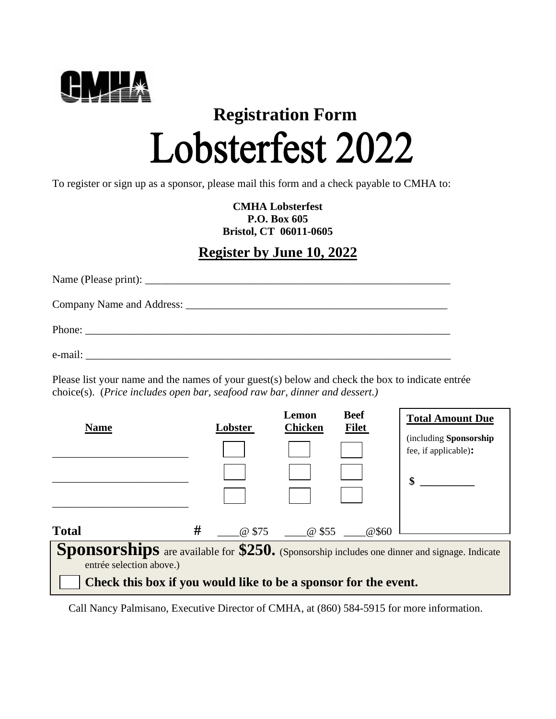

# **Registration Form** Lobsterfest 2022

To register or sign up as a sponsor, please mail this form and a check payable to CMHA to:

**CMHA Lobsterfest P.O. Box 605 Bristol, CT 06011-0605**

### **Register by June 10, 2022**

| Phone: |
|--------|
|        |

Please list your name and the names of your guest(s) below and check the box to indicate entrée choice(s). (*Price includes open bar, seafood raw bar, dinner and dessert.)*

| <b>Name</b>  | Lobster                           | Lemon<br><b>Chicken</b> | <b>Beef</b><br><b>Filet</b> | <b>Total Amount Due</b>                              |
|--------------|-----------------------------------|-------------------------|-----------------------------|------------------------------------------------------|
|              |                                   |                         |                             | (including Sponsorship<br>fee, if applicable):       |
|              |                                   |                         |                             | \$                                                   |
|              |                                   |                         |                             |                                                      |
| <b>Total</b> | #<br>@ \$75                       | @ \$55                  | @\$60                       |                                                      |
| Snonsorching | $\frac{1}{2}$ available for \$250 |                         |                             | Concording included and dinner and gianges. Indicate |

**Sponsorships** are available for **\$250.** (Sponsorship includes one dinner and signage. Indicate entrée selection above.)

**Check this box if you would like to be a sponsor for the event.**

Call Nancy Palmisano, Executive Director of CMHA, at (860) 584-5915 for more information.